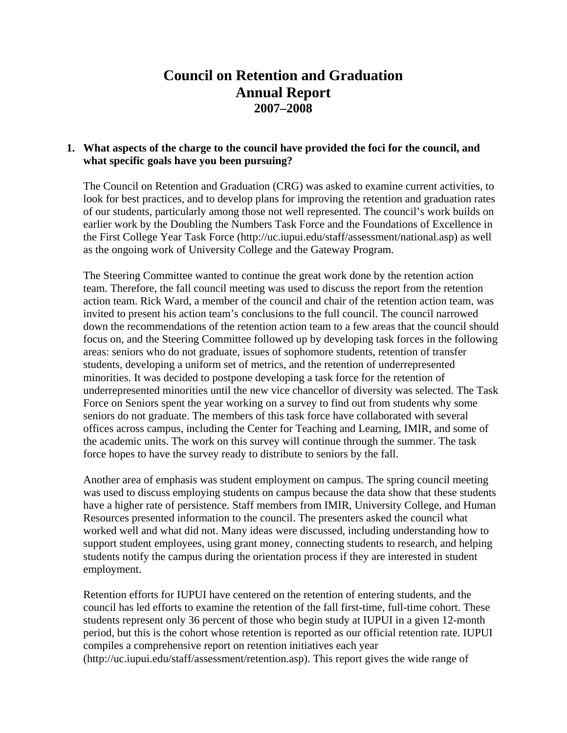# **Council on Retention and Graduation Annual Report 2007–2008**

## **1. What aspects of the charge to the council have provided the foci for the council, and what specific goals have you been pursuing?**

The Council on Retention and Graduation (CRG) was asked to examine current activities, to look for best practices, and to develop plans for improving the retention and graduation rates of our students, particularly among those not well represented. The council's work builds on earlier work by the Doubling the Numbers Task Force and the Foundations of Excellence in the First College Year Task Force (http://uc.iupui.edu/staff/assessment/national.asp) as well as the ongoing work of University College and the Gateway Program.

The Steering Committee wanted to continue the great work done by the retention action team. Therefore, the fall council meeting was used to discuss the report from the retention action team. Rick Ward, a member of the council and chair of the retention action team, was invited to present his action team's conclusions to the full council. The council narrowed down the recommendations of the retention action team to a few areas that the council should focus on, and the Steering Committee followed up by developing task forces in the following areas: seniors who do not graduate, issues of sophomore students, retention of transfer students, developing a uniform set of metrics, and the retention of underrepresented minorities. It was decided to postpone developing a task force for the retention of underrepresented minorities until the new vice chancellor of diversity was selected. The Task Force on Seniors spent the year working on a survey to find out from students why some seniors do not graduate. The members of this task force have collaborated with several offices across campus, including the Center for Teaching and Learning, IMIR, and some of the academic units. The work on this survey will continue through the summer. The task force hopes to have the survey ready to distribute to seniors by the fall.

Another area of emphasis was student employment on campus. The spring council meeting was used to discuss employing students on campus because the data show that these students have a higher rate of persistence. Staff members from IMIR, University College, and Human Resources presented information to the council. The presenters asked the council what worked well and what did not. Many ideas were discussed, including understanding how to support student employees, using grant money, connecting students to research, and helping students notify the campus during the orientation process if they are interested in student employment.

Retention efforts for IUPUI have centered on the retention of entering students, and the council has led efforts to examine the retention of the fall first-time, full-time cohort. These students represent only 36 percent of those who begin study at IUPUI in a given 12-month period, but this is the cohort whose retention is reported as our official retention rate. IUPUI compiles a comprehensive report on retention initiatives each year (http://uc.iupui.edu/staff/assessment/retention.asp). This report gives the wide range of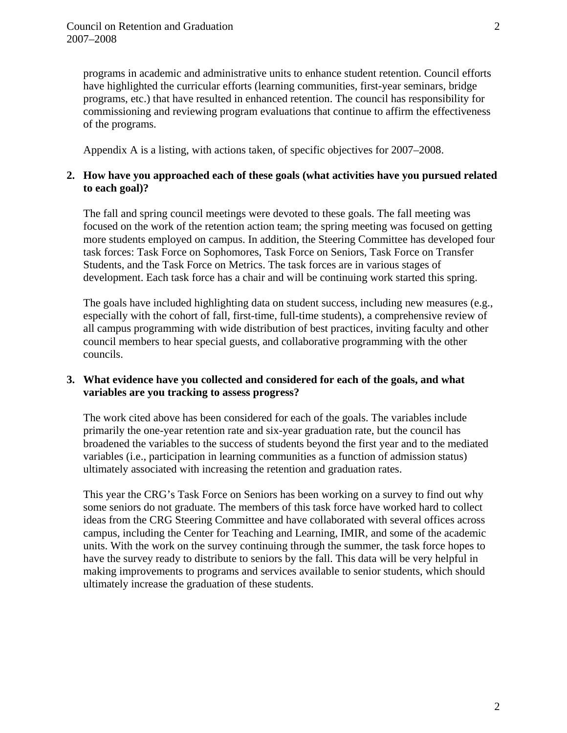programs in academic and administrative units to enhance student retention. Council efforts have highlighted the curricular efforts (learning communities, first-year seminars, bridge programs, etc.) that have resulted in enhanced retention. The council has responsibility for commissioning and reviewing program evaluations that continue to affirm the effectiveness of the programs.

Appendix A is a listing, with actions taken, of specific objectives for 2007–2008.

## **2. How have you approached each of these goals (what activities have you pursued related to each goal)?**

The fall and spring council meetings were devoted to these goals. The fall meeting was focused on the work of the retention action team; the spring meeting was focused on getting more students employed on campus. In addition, the Steering Committee has developed four task forces: Task Force on Sophomores, Task Force on Seniors, Task Force on Transfer Students, and the Task Force on Metrics. The task forces are in various stages of development. Each task force has a chair and will be continuing work started this spring.

The goals have included highlighting data on student success, including new measures (e.g., especially with the cohort of fall, first-time, full-time students), a comprehensive review of all campus programming with wide distribution of best practices, inviting faculty and other council members to hear special guests, and collaborative programming with the other councils.

## **3. What evidence have you collected and considered for each of the goals, and what variables are you tracking to assess progress?**

The work cited above has been considered for each of the goals. The variables include primarily the one-year retention rate and six-year graduation rate, but the council has broadened the variables to the success of students beyond the first year and to the mediated variables (i.e., participation in learning communities as a function of admission status) ultimately associated with increasing the retention and graduation rates.

This year the CRG's Task Force on Seniors has been working on a survey to find out why some seniors do not graduate. The members of this task force have worked hard to collect ideas from the CRG Steering Committee and have collaborated with several offices across campus, including the Center for Teaching and Learning, IMIR, and some of the academic units. With the work on the survey continuing through the summer, the task force hopes to have the survey ready to distribute to seniors by the fall. This data will be very helpful in making improvements to programs and services available to senior students, which should ultimately increase the graduation of these students.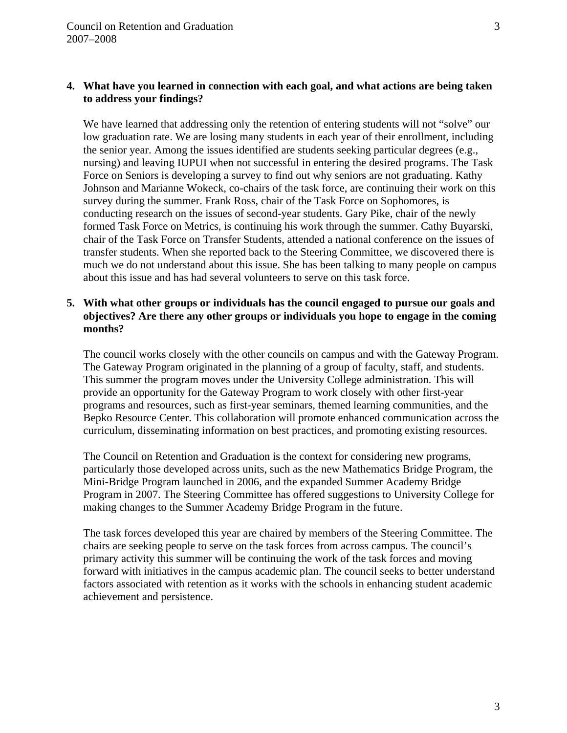## **4. What have you learned in connection with each goal, and what actions are being taken to address your findings?**

We have learned that addressing only the retention of entering students will not "solve" our low graduation rate. We are losing many students in each year of their enrollment, including the senior year. Among the issues identified are students seeking particular degrees (e.g., nursing) and leaving IUPUI when not successful in entering the desired programs. The Task Force on Seniors is developing a survey to find out why seniors are not graduating. Kathy Johnson and Marianne Wokeck, co-chairs of the task force, are continuing their work on this survey during the summer. Frank Ross, chair of the Task Force on Sophomores, is conducting research on the issues of second-year students. Gary Pike, chair of the newly formed Task Force on Metrics, is continuing his work through the summer. Cathy Buyarski, chair of the Task Force on Transfer Students, attended a national conference on the issues of transfer students. When she reported back to the Steering Committee, we discovered there is much we do not understand about this issue. She has been talking to many people on campus about this issue and has had several volunteers to serve on this task force.

## **5. With what other groups or individuals has the council engaged to pursue our goals and objectives? Are there any other groups or individuals you hope to engage in the coming months?**

The council works closely with the other councils on campus and with the Gateway Program. The Gateway Program originated in the planning of a group of faculty, staff, and students. This summer the program moves under the University College administration. This will provide an opportunity for the Gateway Program to work closely with other first-year programs and resources, such as first-year seminars, themed learning communities, and the Bepko Resource Center. This collaboration will promote enhanced communication across the curriculum, disseminating information on best practices, and promoting existing resources.

The Council on Retention and Graduation is the context for considering new programs, particularly those developed across units, such as the new Mathematics Bridge Program, the Mini-Bridge Program launched in 2006, and the expanded Summer Academy Bridge Program in 2007. The Steering Committee has offered suggestions to University College for making changes to the Summer Academy Bridge Program in the future.

The task forces developed this year are chaired by members of the Steering Committee. The chairs are seeking people to serve on the task forces from across campus. The council's primary activity this summer will be continuing the work of the task forces and moving forward with initiatives in the campus academic plan. The council seeks to better understand factors associated with retention as it works with the schools in enhancing student academic achievement and persistence.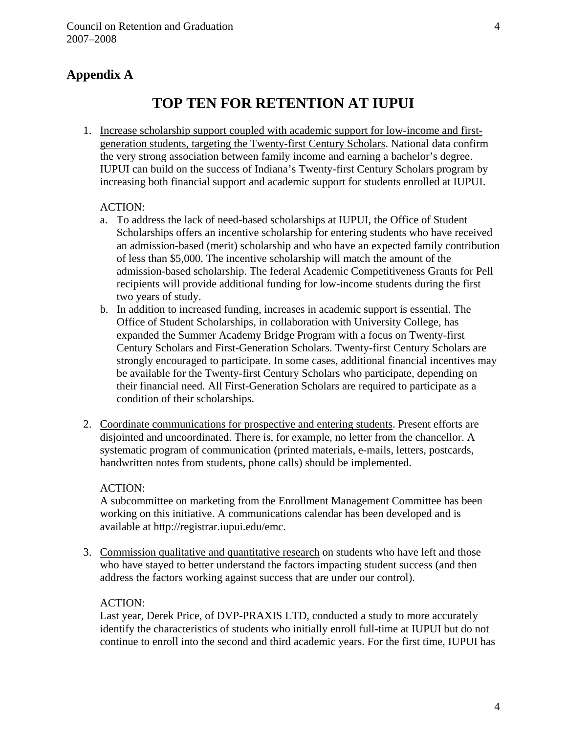## **Appendix A**

# **TOP TEN FOR RETENTION AT IUPUI**

1. Increase scholarship support coupled with academic support for low-income and firstgeneration students, targeting the Twenty-first Century Scholars. National data confirm the very strong association between family income and earning a bachelor's degree. IUPUI can build on the success of Indiana's Twenty-first Century Scholars program by increasing both financial support and academic support for students enrolled at IUPUI.

## ACTION:

- a. To address the lack of need-based scholarships at IUPUI, the Office of Student Scholarships offers an incentive scholarship for entering students who have received an admission-based (merit) scholarship and who have an expected family contribution of less than \$5,000. The incentive scholarship will match the amount of the admission-based scholarship. The federal Academic Competitiveness Grants for Pell recipients will provide additional funding for low-income students during the first two years of study.
- b. In addition to increased funding, increases in academic support is essential. The Office of Student Scholarships, in collaboration with University College, has expanded the Summer Academy Bridge Program with a focus on Twenty-first Century Scholars and First-Generation Scholars. Twenty-first Century Scholars are strongly encouraged to participate. In some cases, additional financial incentives may be available for the Twenty-first Century Scholars who participate, depending on their financial need. All First-Generation Scholars are required to participate as a condition of their scholarships.
- 2. Coordinate communications for prospective and entering students. Present efforts are disjointed and uncoordinated. There is, for example, no letter from the chancellor. A systematic program of communication (printed materials, e-mails, letters, postcards, handwritten notes from students, phone calls) should be implemented.

#### ACTION:

A subcommittee on marketing from the Enrollment Management Committee has been working on this initiative. A communications calendar has been developed and is available at http://registrar.iupui.edu/emc.

3. Commission qualitative and quantitative research on students who have left and those who have stayed to better understand the factors impacting student success (and then address the factors working against success that are under our control).

## ACTION:

Last year, Derek Price, of DVP-PRAXIS LTD, conducted a study to more accurately identify the characteristics of students who initially enroll full-time at IUPUI but do not continue to enroll into the second and third academic years. For the first time, IUPUI has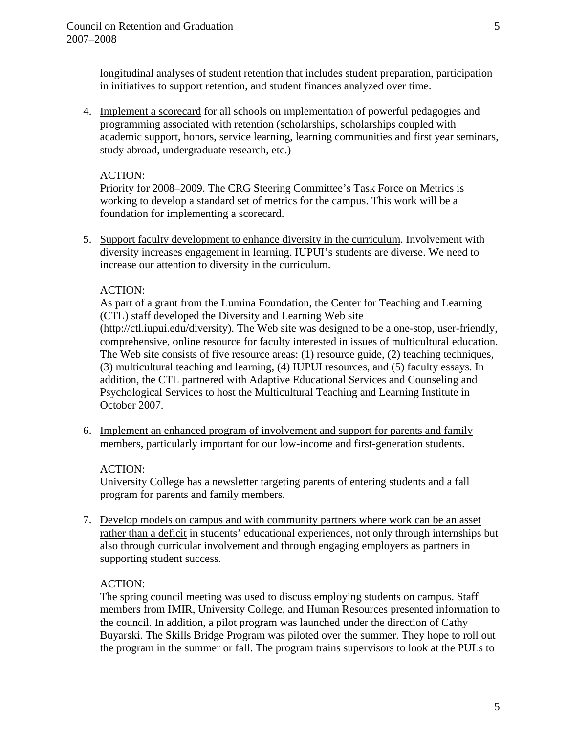longitudinal analyses of student retention that includes student preparation, participation in initiatives to support retention, and student finances analyzed over time.

4. Implement a scorecard for all schools on implementation of powerful pedagogies and programming associated with retention (scholarships, scholarships coupled with academic support, honors, service learning, learning communities and first year seminars, study abroad, undergraduate research, etc.)

## ACTION:

Priority for 2008–2009. The CRG Steering Committee's Task Force on Metrics is working to develop a standard set of metrics for the campus. This work will be a foundation for implementing a scorecard.

5. Support faculty development to enhance diversity in the curriculum. Involvement with diversity increases engagement in learning. IUPUI's students are diverse. We need to increase our attention to diversity in the curriculum.

## ACTION:

As part of a grant from the Lumina Foundation, the Center for Teaching and Learning (CTL) staff developed the Diversity and Learning Web site

(http://ctl.iupui.edu/diversity). The Web site was designed to be a one-stop, user-friendly, comprehensive, online resource for faculty interested in issues of multicultural education. The Web site consists of five resource areas: (1) resource guide, (2) teaching techniques, (3) multicultural teaching and learning, (4) IUPUI resources, and (5) faculty essays. In addition, the CTL partnered with Adaptive Educational Services and Counseling and Psychological Services to host the Multicultural Teaching and Learning Institute in October 2007.

6. Implement an enhanced program of involvement and support for parents and family members, particularly important for our low-income and first-generation students.

## ACTION:

University College has a newsletter targeting parents of entering students and a fall program for parents and family members.

7. Develop models on campus and with community partners where work can be an asset rather than a deficit in students' educational experiences, not only through internships but also through curricular involvement and through engaging employers as partners in supporting student success.

## ACTION:

The spring council meeting was used to discuss employing students on campus. Staff members from IMIR, University College, and Human Resources presented information to the council. In addition, a pilot program was launched under the direction of Cathy Buyarski. The Skills Bridge Program was piloted over the summer. They hope to roll out the program in the summer or fall. The program trains supervisors to look at the PULs to